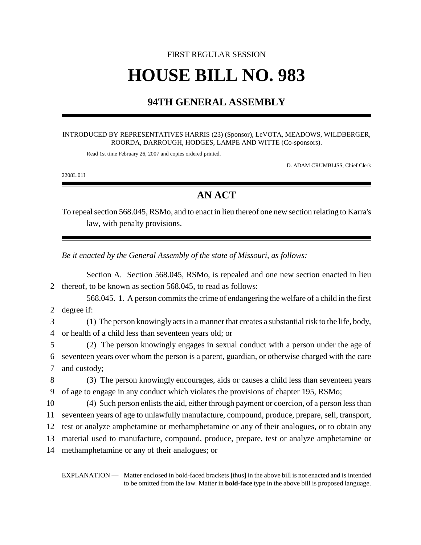# FIRST REGULAR SESSION **HOUSE BILL NO. 983**

## **94TH GENERAL ASSEMBLY**

#### INTRODUCED BY REPRESENTATIVES HARRIS (23) (Sponsor), LeVOTA, MEADOWS, WILDBERGER, ROORDA, DARROUGH, HODGES, LAMPE AND WITTE (Co-sponsors).

Read 1st time February 26, 2007 and copies ordered printed.

D. ADAM CRUMBLISS, Chief Clerk

2208L.01I

## **AN ACT**

To repeal section 568.045, RSMo, and to enact in lieu thereof one new section relating to Karra's law, with penalty provisions.

*Be it enacted by the General Assembly of the state of Missouri, as follows:*

Section A. Section 568.045, RSMo, is repealed and one new section enacted in lieu thereof, to be known as section 568.045, to read as follows: 568.045. 1. A person commits the crime of endangering the welfare of a child in the first degree if: (1) The person knowingly acts in a manner that creates a substantial risk to the life, body, or health of a child less than seventeen years old; or (2) The person knowingly engages in sexual conduct with a person under the age of seventeen years over whom the person is a parent, guardian, or otherwise charged with the care and custody; (3) The person knowingly encourages, aids or causes a child less than seventeen years of age to engage in any conduct which violates the provisions of chapter 195, RSMo; (4) Such person enlists the aid, either through payment or coercion, of a person less than seventeen years of age to unlawfully manufacture, compound, produce, prepare, sell, transport, test or analyze amphetamine or methamphetamine or any of their analogues, or to obtain any material used to manufacture, compound, produce, prepare, test or analyze amphetamine or methamphetamine or any of their analogues; or

EXPLANATION — Matter enclosed in bold-faced brackets **[**thus**]** in the above bill is not enacted and is intended to be omitted from the law. Matter in **bold-face** type in the above bill is proposed language.